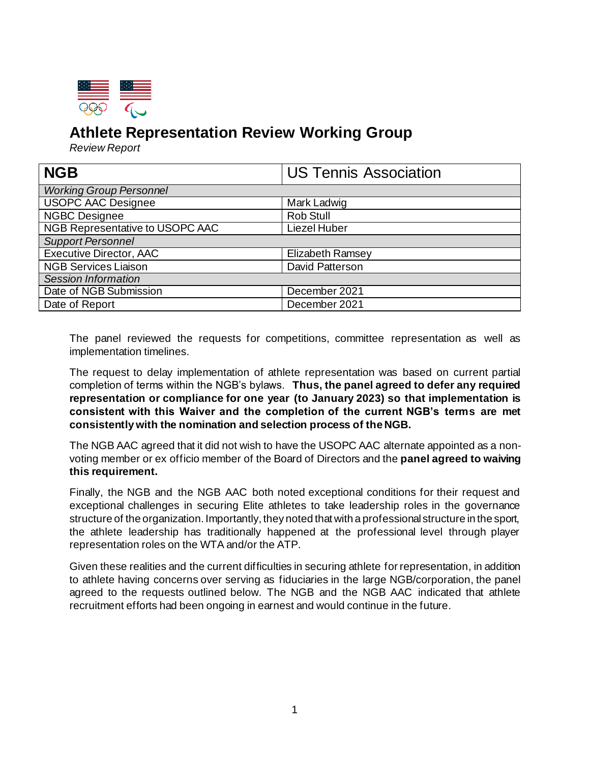

## **Athlete Representation Review Working Group**

*Review Report*

| <b>NGB</b>                      | <b>US Tennis Association</b> |  |
|---------------------------------|------------------------------|--|
| <b>Working Group Personnel</b>  |                              |  |
| <b>USOPC AAC Designee</b>       | Mark Ladwig                  |  |
| <b>NGBC Designee</b>            | Rob Stull                    |  |
| NGB Representative to USOPC AAC | <b>Liezel Huber</b>          |  |
| <b>Support Personnel</b>        |                              |  |
| <b>Executive Director, AAC</b>  | <b>Elizabeth Ramsey</b>      |  |
| <b>NGB Services Liaison</b>     | David Patterson              |  |
| <b>Session Information</b>      |                              |  |
| Date of NGB Submission          | December 2021                |  |
| Date of Report                  | December 2021                |  |

The panel reviewed the requests for competitions, committee representation as well as implementation timelines.

The request to delay implementation of athlete representation was based on current partial completion of terms within the NGB's bylaws. **Thus, the panel agreed to defer any required representation or compliance for one year (to January 2023) so that implementation is consistent with this Waiver and the completion of the current NGB's terms are met consistently with the nomination and selection process of the NGB.**

The NGB AAC agreed that it did not wish to have the USOPC AAC alternate appointed as a nonvoting member or ex officio member of the Board of Directors and the **panel agreed to waiving this requirement.**

Finally, the NGB and the NGB AAC both noted exceptional conditions for their request and exceptional challenges in securing Elite athletes to take leadership roles in the governance structure of the organization. Importantly, they noted that with a professional structure in the sport, the athlete leadership has traditionally happened at the professional level through player representation roles on the WTA and/or the ATP.

Given these realities and the current difficulties in securing athlete for representation, in addition to athlete having concerns over serving as fiduciaries in the large NGB/corporation, the panel agreed to the requests outlined below. The NGB and the NGB AAC indicated that athlete recruitment efforts had been ongoing in earnest and would continue in the future.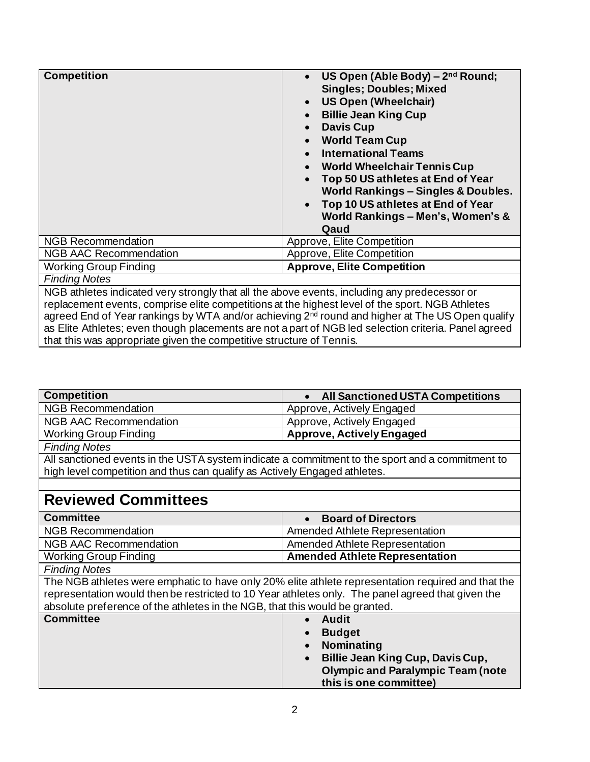| <b>Competition</b>                                                                                                                                                                                             | US Open (Able Body) - 2nd Round;<br><b>Singles; Doubles; Mixed</b><br><b>US Open (Wheelchair)</b><br>$\bullet$<br><b>Billie Jean King Cup</b><br><b>Davis Cup</b><br><b>World Team Cup</b><br>$\bullet$<br><b>International Teams</b><br><b>World Wheelchair Tennis Cup</b><br>$\bullet$<br>Top 50 US athletes at End of Year<br>$\bullet$<br>World Rankings - Singles & Doubles.<br>Top 10 US athletes at End of Year<br>$\bullet$<br>World Rankings - Men's, Women's &<br>Qaud |
|----------------------------------------------------------------------------------------------------------------------------------------------------------------------------------------------------------------|----------------------------------------------------------------------------------------------------------------------------------------------------------------------------------------------------------------------------------------------------------------------------------------------------------------------------------------------------------------------------------------------------------------------------------------------------------------------------------|
| <b>NGB Recommendation</b>                                                                                                                                                                                      | Approve, Elite Competition                                                                                                                                                                                                                                                                                                                                                                                                                                                       |
| <b>NGB AAC Recommendation</b>                                                                                                                                                                                  | Approve, Elite Competition                                                                                                                                                                                                                                                                                                                                                                                                                                                       |
| <b>Working Group Finding</b>                                                                                                                                                                                   | <b>Approve, Elite Competition</b>                                                                                                                                                                                                                                                                                                                                                                                                                                                |
| <b>Finding Notes</b>                                                                                                                                                                                           |                                                                                                                                                                                                                                                                                                                                                                                                                                                                                  |
| NGB athletes indicated very strongly that all the above events, including any predecessor or                                                                                                                   |                                                                                                                                                                                                                                                                                                                                                                                                                                                                                  |
| replacement events, comprise elite competitions at the highest level of the sport. NGB Athletes<br>agreed End of Year rankings by WTA and/or achieving 2 <sup>nd</sup> round and higher at The US Open qualify |                                                                                                                                                                                                                                                                                                                                                                                                                                                                                  |

as Elite Athletes; even though placements are not a part of NGB led selection criteria. Panel agreed

that this was appropriate given the competitive structure of Tennis.

| <b>Competition</b>                                                                                 | <b>All Sanctioned USTA Competitions</b>  |  |
|----------------------------------------------------------------------------------------------------|------------------------------------------|--|
| <b>NGB Recommendation</b>                                                                          | Approve, Actively Engaged                |  |
| <b>NGB AAC Recommendation</b>                                                                      | Approve, Actively Engaged                |  |
| <b>Working Group Finding</b>                                                                       | <b>Approve, Actively Engaged</b>         |  |
| <b>Finding Notes</b>                                                                               |                                          |  |
| All sanctioned events in the USTA system indicate a commitment to the sport and a commitment to    |                                          |  |
| high level competition and thus can qualify as Actively Engaged athletes.                          |                                          |  |
|                                                                                                    |                                          |  |
| <b>Reviewed Committees</b>                                                                         |                                          |  |
| <b>Committee</b>                                                                                   | <b>Board of Directors</b><br>$\bullet$   |  |
| <b>NGB Recommendation</b>                                                                          | Amended Athlete Representation           |  |
| <b>NGB AAC Recommendation</b>                                                                      | Amended Athlete Representation           |  |
| <b>Working Group Finding</b>                                                                       | <b>Amended Athlete Representation</b>    |  |
| <b>Finding Notes</b>                                                                               |                                          |  |
| The NGB athletes were emphatic to have only 20% elite athlete representation required and that the |                                          |  |
| representation would then be restricted to 10 Year athletes only. The panel agreed that given the  |                                          |  |
| absolute preference of the athletes in the NGB, that this would be granted.                        |                                          |  |
| <b>Committee</b>                                                                                   | <b>Audit</b>                             |  |
|                                                                                                    | <b>Budget</b>                            |  |
|                                                                                                    | Nominating                               |  |
|                                                                                                    | Billie Jean King Cup, Davis Cup,         |  |
|                                                                                                    | <b>Olympic and Paralympic Team (note</b> |  |
|                                                                                                    | this is one committee)                   |  |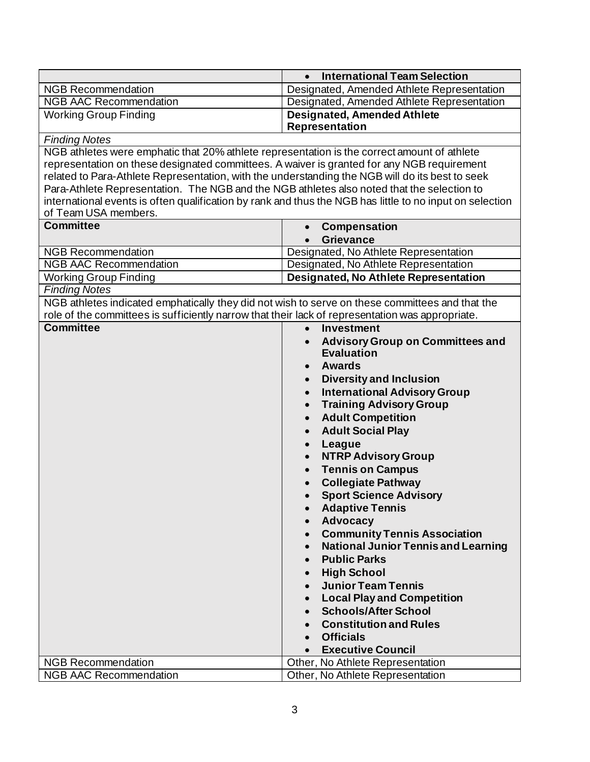|                                                                                                                                  | <b>International Team Selection</b><br>$\bullet$            |
|----------------------------------------------------------------------------------------------------------------------------------|-------------------------------------------------------------|
| <b>NGB Recommendation</b>                                                                                                        | Designated, Amended Athlete Representation                  |
| <b>NGB AAC Recommendation</b>                                                                                                    | Designated, Amended Athlete Representation                  |
| <b>Working Group Finding</b>                                                                                                     | <b>Designated, Amended Athlete</b><br>Representation        |
| <b>Finding Notes</b>                                                                                                             |                                                             |
| NGB athletes were emphatic that 20% athlete representation is the correct amount of athlete                                      |                                                             |
| representation on these designated committees. A waiver is granted for any NGB requirement                                       |                                                             |
| related to Para-Athlete Representation, with the understanding the NGB will do its best to seek                                  |                                                             |
| Para-Athlete Representation. The NGB and the NGB athletes also noted that the selection to                                       |                                                             |
| international events is often qualification by rank and thus the NGB has little to no input on selection<br>of Team USA members. |                                                             |
| <b>Committee</b>                                                                                                                 | <b>Compensation</b>                                         |
|                                                                                                                                  | <b>Grievance</b>                                            |
| <b>NGB Recommendation</b>                                                                                                        | Designated, No Athlete Representation                       |
| <b>NGB AAC Recommendation</b>                                                                                                    | Designated, No Athlete Representation                       |
| <b>Working Group Finding</b>                                                                                                     | Designated, No Athlete Representation                       |
| <b>Finding Notes</b>                                                                                                             |                                                             |
| NGB athletes indicated emphatically they did not wish to serve on these committees and that the                                  |                                                             |
| role of the committees is sufficiently narrow that their lack of representation was appropriate.                                 |                                                             |
| <b>Committee</b>                                                                                                                 | <b>Investment</b><br>$\bullet$                              |
|                                                                                                                                  | <b>Advisory Group on Committees and</b><br>$\bullet$        |
|                                                                                                                                  | <b>Evaluation</b>                                           |
|                                                                                                                                  | <b>Awards</b><br>$\bullet$                                  |
|                                                                                                                                  | <b>Diversity and Inclusion</b><br>$\bullet$                 |
|                                                                                                                                  | <b>International Advisory Group</b><br>$\bullet$            |
|                                                                                                                                  | <b>Training Advisory Group</b><br>$\bullet$                 |
|                                                                                                                                  | <b>Adult Competition</b><br>$\bullet$                       |
|                                                                                                                                  | <b>Adult Social Play</b><br>$\bullet$                       |
|                                                                                                                                  | League                                                      |
|                                                                                                                                  | <b>NTRP Advisory Group</b>                                  |
|                                                                                                                                  | <b>Tennis on Campus</b>                                     |
|                                                                                                                                  | <b>Collegiate Pathway</b>                                   |
|                                                                                                                                  | <b>Sport Science Advisory</b>                               |
|                                                                                                                                  | <b>Adaptive Tennis</b><br>$\bullet$                         |
|                                                                                                                                  | <b>Advocacy</b><br>$\bullet$                                |
|                                                                                                                                  | <b>Community Tennis Association</b><br>$\bullet$            |
|                                                                                                                                  | <b>National Junior Tennis and Learning</b><br>$\bullet$     |
|                                                                                                                                  | <b>Public Parks</b><br>$\bullet$                            |
|                                                                                                                                  | <b>High School</b><br>$\bullet$                             |
|                                                                                                                                  | <b>Junior Team Tennis</b>                                   |
|                                                                                                                                  | $\bullet$<br><b>Local Play and Competition</b><br>$\bullet$ |
|                                                                                                                                  | <b>Schools/After School</b><br>$\bullet$                    |
|                                                                                                                                  | <b>Constitution and Rules</b>                               |
|                                                                                                                                  |                                                             |
|                                                                                                                                  | <b>Officials</b><br>$\bullet$                               |
|                                                                                                                                  | <b>Executive Council</b><br>$\bullet$                       |
| <b>NGB Recommendation</b>                                                                                                        | Other, No Athlete Representation                            |
| <b>NGB AAC Recommendation</b>                                                                                                    | Other, No Athlete Representation                            |